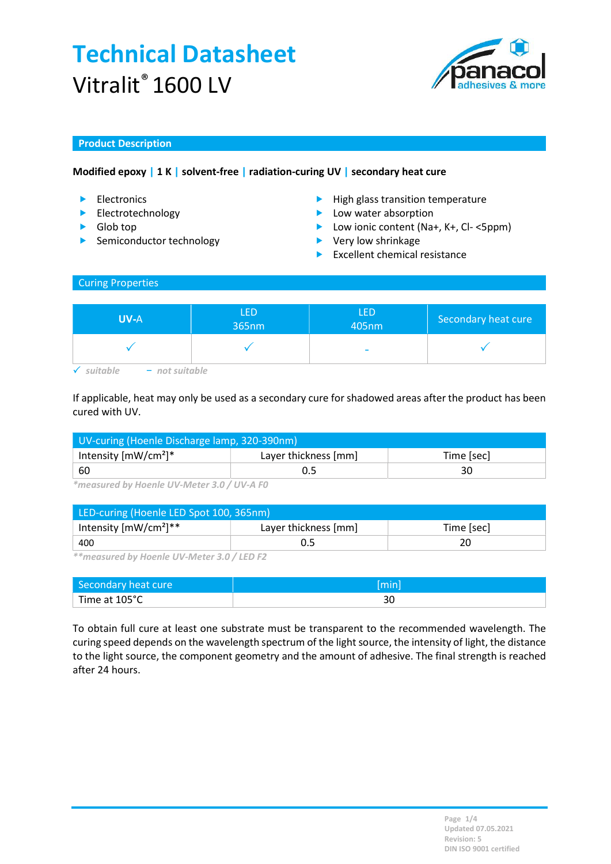

## Product Description

## Modified epoxy | 1 K | solvent-free | radiation-curing UV | secondary heat cure

- 
- Electrotechnology
- ▶ Glob top
- $\blacktriangleright$  Semiconductor technology
- Electronics **High glass transition temperature** 
	- **Low water absorption**
	- ▶ Low ionic content (Na+, K+, Cl- <5ppm)
	- ▶ Very low shrinkage
	- $\blacktriangleright$  Excellent chemical resistance

## Curing Properties

| <b>UV-A</b>    | <b>LED</b><br>365nm | <b>LED</b><br>405nm      | Secondary heat cure |
|----------------|---------------------|--------------------------|---------------------|
|                |                     | $\overline{\phantom{a}}$ |                     |
| - not suitable |                     |                          |                     |

If applicable, heat may only be used as a secondary cure for shadowed areas after the product has been cured with UV.

| UV-curing (Hoenle Discharge lamp, 320-390nm) |                                    |  |  |
|----------------------------------------------|------------------------------------|--|--|
| Intensity $[mW/cm^2]^*$                      | Layer thickness [mm]<br>Time [sec] |  |  |
| 60                                           |                                    |  |  |

\*measured by Hoenle UV-Meter 3.0 / UV-A F0

| LED-curing (Hoenle LED Spot 100, 365nm) |                      |            |  |
|-----------------------------------------|----------------------|------------|--|
| Intensity $[mW/cm^2]^{**}$              | Layer thickness [mm] | Time [sec] |  |
| 400                                     |                      | 20         |  |

\*\*measured by Hoenle UV-Meter 3.0 / LED F2

| Secondary heat cure | [min] |
|---------------------|-------|
| Time at 105°C       | υc    |

To obtain full cure at least one substrate must be transparent to the recommended wavelength. The curing speed depends on the wavelength spectrum of the light source, the intensity of light, the distance to the light source, the component geometry and the amount of adhesive. The final strength is reached after 24 hours.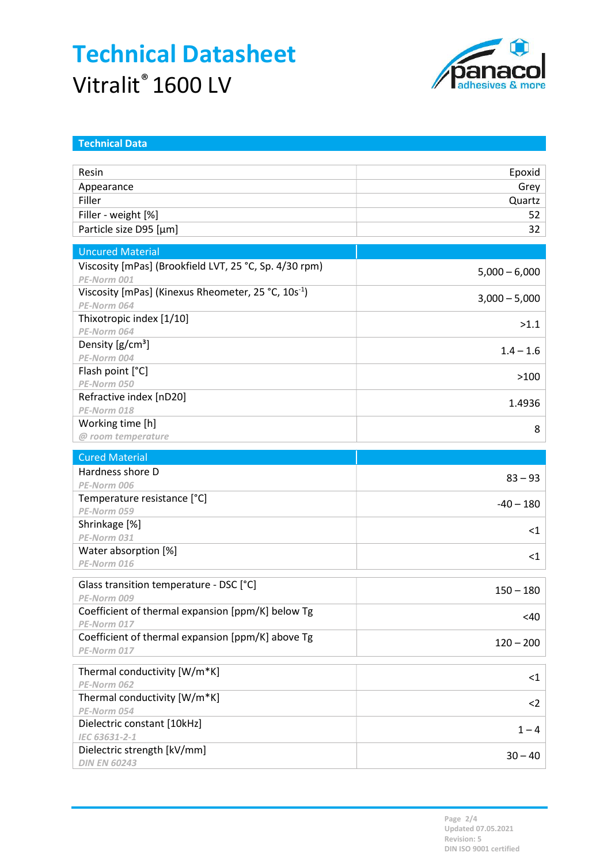

| <b>Technical Data</b>                                           |                 |
|-----------------------------------------------------------------|-----------------|
|                                                                 |                 |
| Resin                                                           | Epoxid          |
| Appearance                                                      | Grey            |
| Filler                                                          | Quartz          |
| Filler - weight [%]                                             | 52              |
| Particle size D95 [µm]                                          | 32 <sub>2</sub> |
| <b>Uncured Material</b>                                         |                 |
| Viscosity [mPas] (Brookfield LVT, 25 °C, Sp. 4/30 rpm)          | $5,000 - 6,000$ |
| PE-Norm 001                                                     |                 |
| Viscosity [mPas] (Kinexus Rheometer, 25 °C, 10s <sup>-1</sup> ) | $3,000 - 5,000$ |
| PE-Norm 064                                                     |                 |
| Thixotropic index [1/10]<br>PE-Norm 064                         | >1.1            |
| Density $[g/cm^3]$                                              |                 |
| PE-Norm 004                                                     | $1.4 - 1.6$     |
| Flash point [°C]                                                |                 |
| PE-Norm 050                                                     | >100            |
| Refractive index [nD20]                                         |                 |
| PE-Norm 018                                                     | 1.4936          |
| Working time [h]                                                |                 |
| @ room temperature                                              | 8               |
|                                                                 |                 |
| <b>Cured Material</b><br>Hardness shore D                       |                 |
| PE-Norm 006                                                     | $83 - 93$       |
| Temperature resistance [°C]                                     |                 |
|                                                                 |                 |
|                                                                 | $-40 - 180$     |
| PE-Norm 059                                                     |                 |
| Shrinkage [%]<br>PE-Norm 031                                    | $<$ 1           |
| Water absorption [%]                                            |                 |
| PE-Norm 016                                                     | $\leq$ 1        |
|                                                                 |                 |
| Glass transition temperature - DSC [°C]                         | $150 - 180$     |
| PE-Norm 009                                                     |                 |
| Coefficient of thermal expansion [ppm/K] below Tg               | <40             |
| PE-Norm 017                                                     |                 |
| Coefficient of thermal expansion [ppm/K] above Tg               | $120 - 200$     |
| PE-Norm 017                                                     |                 |
| Thermal conductivity [W/m*K]                                    | $\leq$ 1        |
| PE-Norm 062                                                     |                 |
| Thermal conductivity [W/m*K]                                    | $2$             |
| PE-Norm 054                                                     |                 |
| Dielectric constant [10kHz]                                     | $1 - 4$         |
| IEC 63631-2-1<br>Dielectric strength [kV/mm]                    | $30 - 40$       |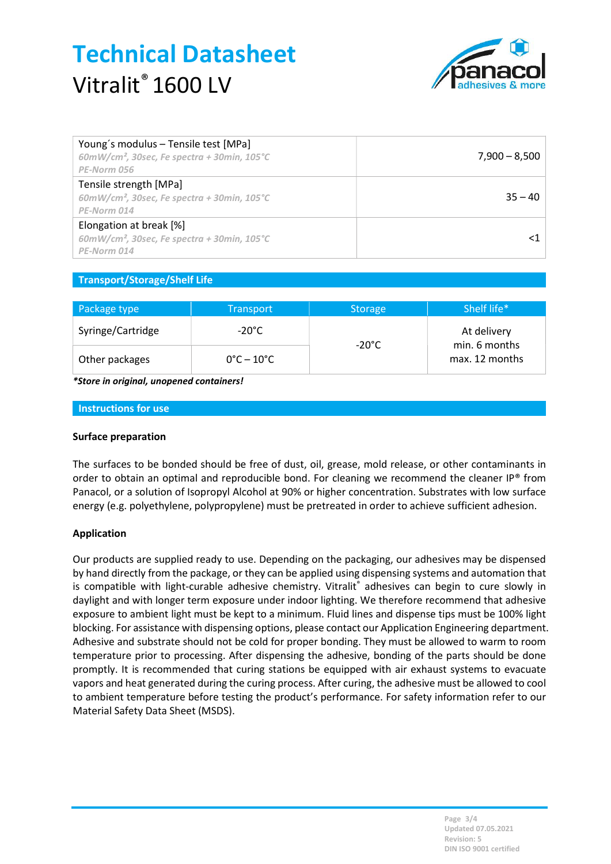

| Young's modulus - Tensile test [MPa]<br>$60mW/cm2$ , 30sec, Fe spectra + 30min, 105°C<br>PE-Norm 056 | $7,900 - 8,500$ |
|------------------------------------------------------------------------------------------------------|-----------------|
| Tensile strength [MPa]<br>$60mW/cm^2$ , 30sec, Fe spectra + 30min, 105°C<br>PE-Norm 014              | $35 - 40$       |
| Elongation at break [%]<br>$60$ mW/cm <sup>2</sup> , 30sec, Fe spectra + 30min, 105°C<br>PE-Norm 014 |                 |

## Transport/Storage/Shelf Life

| Package type      | <b>Transport</b>                | Storage         | Shelf life*                                    |
|-------------------|---------------------------------|-----------------|------------------------------------------------|
| Syringe/Cartridge | -20°C                           | $-20^{\circ}$ C | At delivery<br>min. 6 months<br>max. 12 months |
| Other packages    | $0^{\circ}$ C – 10 $^{\circ}$ C |                 |                                                |

\*Store in original, unopened containers!

#### Instructions for use

#### Surface preparation

The surfaces to be bonded should be free of dust, oil, grease, mold release, or other contaminants in order to obtain an optimal and reproducible bond. For cleaning we recommend the cleaner IP® from Panacol, or a solution of Isopropyl Alcohol at 90% or higher concentration. Substrates with low surface energy (e.g. polyethylene, polypropylene) must be pretreated in order to achieve sufficient adhesion.

#### Application

Our products are supplied ready to use. Depending on the packaging, our adhesives may be dispensed by hand directly from the package, or they can be applied using dispensing systems and automation that is compatible with light-curable adhesive chemistry. Vitralit® adhesives can begin to cure slowly in daylight and with longer term exposure under indoor lighting. We therefore recommend that adhesive exposure to ambient light must be kept to a minimum. Fluid lines and dispense tips must be 100% light blocking. For assistance with dispensing options, please contact our Application Engineering department. Adhesive and substrate should not be cold for proper bonding. They must be allowed to warm to room temperature prior to processing. After dispensing the adhesive, bonding of the parts should be done promptly. It is recommended that curing stations be equipped with air exhaust systems to evacuate vapors and heat generated during the curing process. After curing, the adhesive must be allowed to cool to ambient temperature before testing the product's performance. For safety information refer to our Material Safety Data Sheet (MSDS).